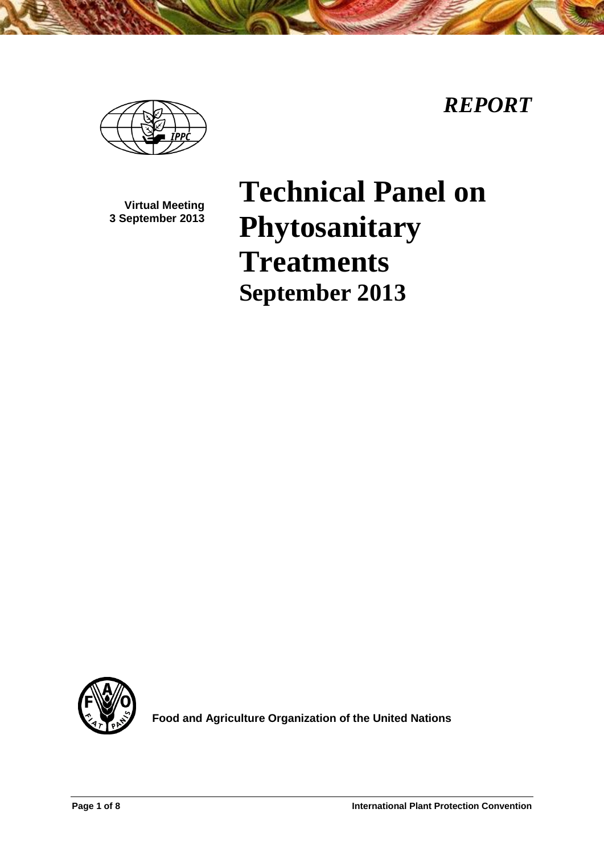*REPORT*



**Virtual Meeting 3 September 2013**

# **Technical Panel on Phytosanitary Treatments September 2013**



**Food and Agriculture Organization of the United Nations**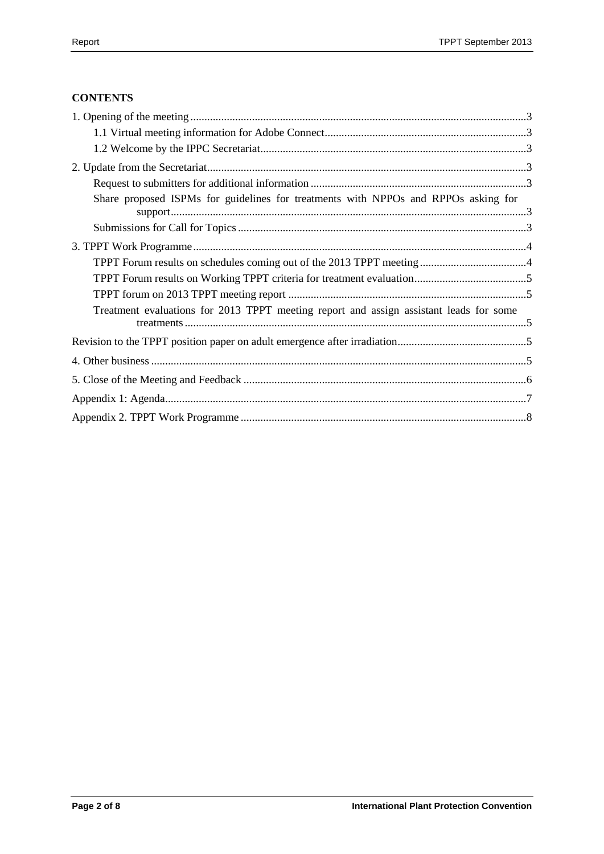# **CONTENTS**

| Share proposed ISPMs for guidelines for treatments with NPPOs and RPPOs asking for     |
|----------------------------------------------------------------------------------------|
|                                                                                        |
|                                                                                        |
|                                                                                        |
|                                                                                        |
|                                                                                        |
| Treatment evaluations for 2013 TPPT meeting report and assign assistant leads for some |
|                                                                                        |
|                                                                                        |
|                                                                                        |
|                                                                                        |
|                                                                                        |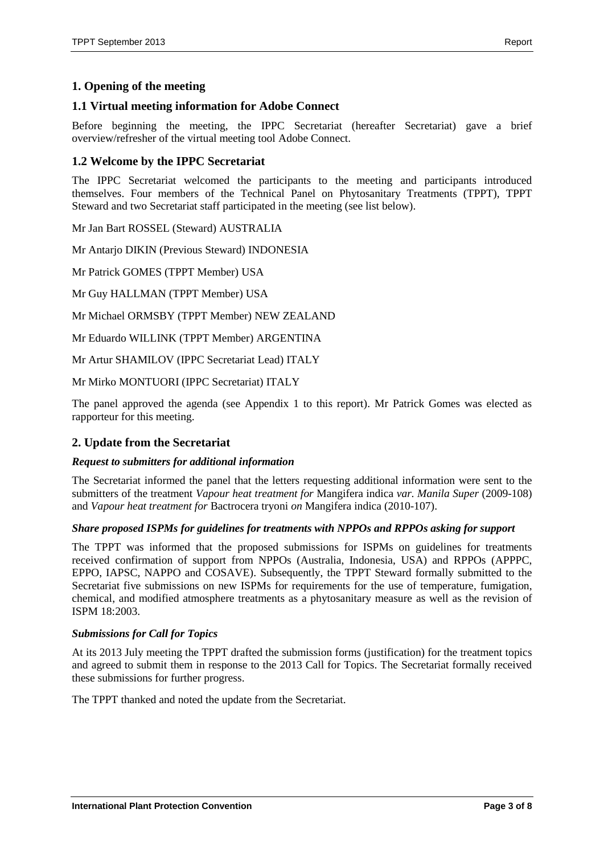# <span id="page-2-0"></span>**1. Opening of the meeting**

## <span id="page-2-1"></span>**1.1 Virtual meeting information for Adobe Connect**

Before beginning the meeting, the IPPC Secretariat (hereafter Secretariat) gave a brief overview/refresher of the virtual meeting tool Adobe Connect.

## <span id="page-2-2"></span>**1.2 Welcome by the IPPC Secretariat**

The IPPC Secretariat welcomed the participants to the meeting and participants introduced themselves. Four members of the Technical Panel on Phytosanitary Treatments (TPPT), TPPT Steward and two Secretariat staff participated in the meeting (see list below).

Mr Jan Bart ROSSEL (Steward) AUSTRALIA

Mr Antarjo DIKIN (Previous Steward) INDONESIA

Mr Patrick GOMES (TPPT Member) USA

Mr Guy HALLMAN (TPPT Member) USA

Mr Michael ORMSBY (TPPT Member) NEW ZEALAND

Mr Eduardo WILLINK (TPPT Member) ARGENTINA

Mr Artur SHAMILOV (IPPC Secretariat Lead) ITALY

Mr Mirko MONTUORI (IPPC Secretariat) ITALY

The panel approved the agenda (see Appendix 1 to this report). Mr Patrick Gomes was elected as rapporteur for this meeting.

#### <span id="page-2-3"></span>**2. Update from the Secretariat**

#### <span id="page-2-4"></span>*Request to submitters for additional information*

The Secretariat informed the panel that the letters requesting additional information were sent to the submitters of the treatment *Vapour heat treatment for* Mangifera indica *var. Manila Super* (2009-108) and *Vapour heat treatment for* Bactrocera tryoni *on* Mangifera indica (2010-107).

#### <span id="page-2-5"></span>*Share proposed ISPMs for guidelines for treatments with NPPOs and RPPOs asking for support*

The TPPT was informed that the proposed submissions for ISPMs on guidelines for treatments received confirmation of support from NPPOs (Australia, Indonesia, USA) and RPPOs (APPPC, EPPO, IAPSC, NAPPO and COSAVE). Subsequently, the TPPT Steward formally submitted to the Secretariat five submissions on new ISPMs for requirements for the use of temperature, fumigation, chemical, and modified atmosphere treatments as a phytosanitary measure as well as the revision of ISPM 18:2003.

#### <span id="page-2-6"></span>*Submissions for Call for Topics*

At its 2013 July meeting the TPPT drafted the submission forms (justification) for the treatment topics and agreed to submit them in response to the 2013 Call for Topics. The Secretariat formally received these submissions for further progress.

The TPPT thanked and noted the update from the Secretariat.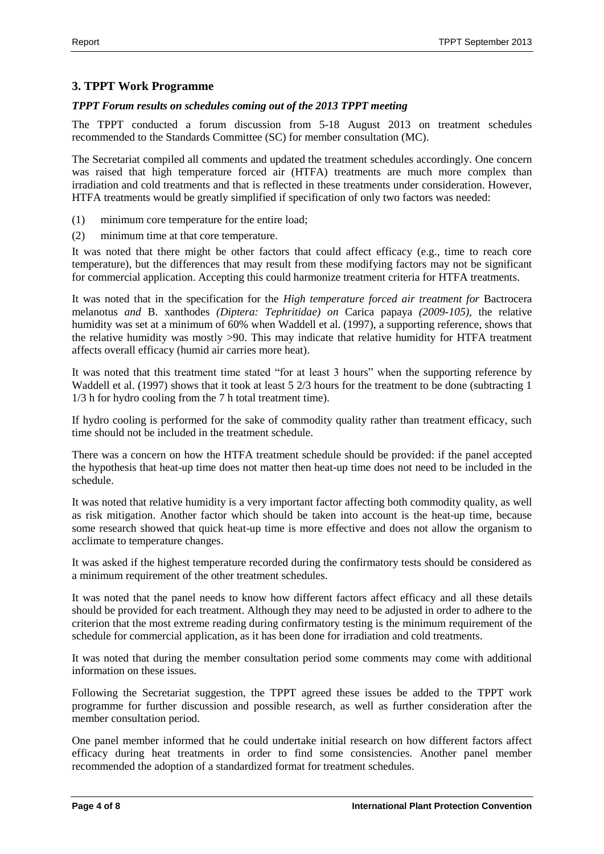# <span id="page-3-0"></span>**3. TPPT Work Programme**

# <span id="page-3-1"></span>*TPPT Forum results on schedules coming out of the 2013 TPPT meeting*

The TPPT conducted a forum discussion from 5-18 August 2013 on treatment schedules recommended to the Standards Committee (SC) for member consultation (MC).

The Secretariat compiled all comments and updated the treatment schedules accordingly. One concern was raised that high temperature forced air (HTFA) treatments are much more complex than irradiation and cold treatments and that is reflected in these treatments under consideration. However, HTFA treatments would be greatly simplified if specification of only two factors was needed:

- (1) minimum core temperature for the entire load;
- (2) minimum time at that core temperature.

It was noted that there might be other factors that could affect efficacy (e.g., time to reach core temperature), but the differences that may result from these modifying factors may not be significant for commercial application. Accepting this could harmonize treatment criteria for HTFA treatments.

It was noted that in the specification for the *High temperature forced air treatment for* Bactrocera melanotus *and* B. xanthodes *(Diptera: Tephritidae) on* Carica papaya *(2009-105),* the relative humidity was set at a minimum of 60% when Waddell et al. (1997), a supporting reference, shows that the relative humidity was mostly >90. This may indicate that relative humidity for HTFA treatment affects overall efficacy (humid air carries more heat).

It was noted that this treatment time stated "for at least 3 hours" when the supporting reference by Waddell et al. (1997) shows that it took at least 5 2/3 hours for the treatment to be done (subtracting 1 1/3 h for hydro cooling from the 7 h total treatment time).

If hydro cooling is performed for the sake of commodity quality rather than treatment efficacy, such time should not be included in the treatment schedule.

There was a concern on how the HTFA treatment schedule should be provided: if the panel accepted the hypothesis that heat-up time does not matter then heat-up time does not need to be included in the schedule.

It was noted that relative humidity is a very important factor affecting both commodity quality, as well as risk mitigation. Another factor which should be taken into account is the heat-up time, because some research showed that quick heat-up time is more effective and does not allow the organism to acclimate to temperature changes.

It was asked if the highest temperature recorded during the confirmatory tests should be considered as a minimum requirement of the other treatment schedules.

It was noted that the panel needs to know how different factors affect efficacy and all these details should be provided for each treatment. Although they may need to be adjusted in order to adhere to the criterion that the most extreme reading during confirmatory testing is the minimum requirement of the schedule for commercial application, as it has been done for irradiation and cold treatments.

It was noted that during the member consultation period some comments may come with additional information on these issues.

Following the Secretariat suggestion, the TPPT agreed these issues be added to the TPPT work programme for further discussion and possible research, as well as further consideration after the member consultation period.

One panel member informed that he could undertake initial research on how different factors affect efficacy during heat treatments in order to find some consistencies. Another panel member recommended the adoption of a standardized format for treatment schedules.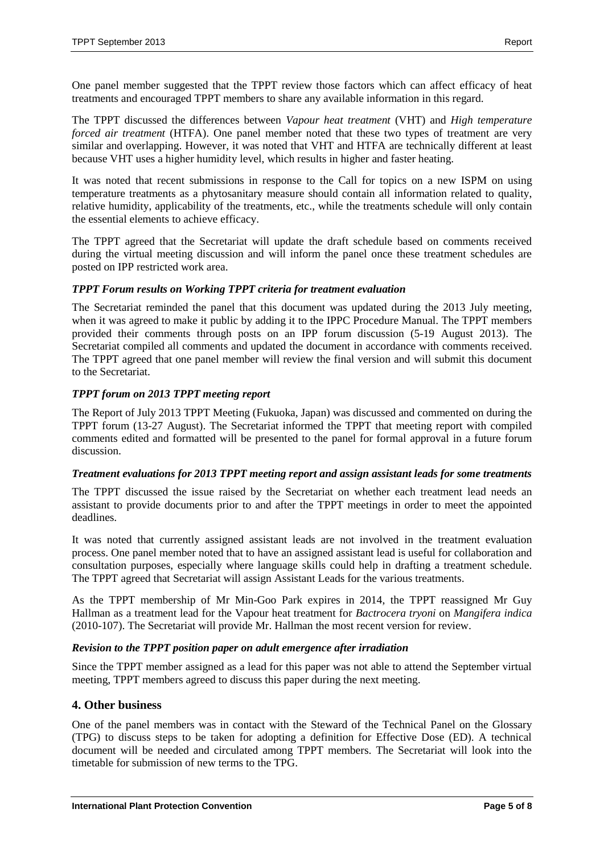One panel member suggested that the TPPT review those factors which can affect efficacy of heat treatments and encouraged TPPT members to share any available information in this regard.

The TPPT discussed the differences between *Vapour heat treatment* (VHT) and *High temperature forced air treatment* (HTFA). One panel member noted that these two types of treatment are very similar and overlapping. However, it was noted that VHT and HTFA are technically different at least because VHT uses a higher humidity level, which results in higher and faster heating.

It was noted that recent submissions in response to the Call for topics on a new ISPM on using temperature treatments as a phytosanitary measure should contain all information related to quality, relative humidity, applicability of the treatments, etc., while the treatments schedule will only contain the essential elements to achieve efficacy.

The TPPT agreed that the Secretariat will update the draft schedule based on comments received during the virtual meeting discussion and will inform the panel once these treatment schedules are posted on IPP restricted work area.

#### <span id="page-4-0"></span>*TPPT Forum results on Working TPPT criteria for treatment evaluation*

The Secretariat reminded the panel that this document was updated during the 2013 July meeting, when it was agreed to make it public by adding it to the IPPC Procedure Manual. The TPPT members provided their comments through posts on an IPP forum discussion (5-19 August 2013). The Secretariat compiled all comments and updated the document in accordance with comments received. The TPPT agreed that one panel member will review the final version and will submit this document to the Secretariat.

#### <span id="page-4-1"></span>*TPPT forum on 2013 TPPT meeting report*

The Report of July 2013 TPPT Meeting (Fukuoka, Japan) was discussed and commented on during the TPPT forum (13-27 August). The Secretariat informed the TPPT that meeting report with compiled comments edited and formatted will be presented to the panel for formal approval in a future forum discussion.

#### <span id="page-4-2"></span>*Treatment evaluations for 2013 TPPT meeting report and assign assistant leads for some treatments*

The TPPT discussed the issue raised by the Secretariat on whether each treatment lead needs an assistant to provide documents prior to and after the TPPT meetings in order to meet the appointed deadlines.

It was noted that currently assigned assistant leads are not involved in the treatment evaluation process. One panel member noted that to have an assigned assistant lead is useful for collaboration and consultation purposes, especially where language skills could help in drafting a treatment schedule. The TPPT agreed that Secretariat will assign Assistant Leads for the various treatments.

As the TPPT membership of Mr Min-Goo Park expires in 2014, the TPPT reassigned Mr Guy Hallman as a treatment lead for the Vapour heat treatment for *Bactrocera tryoni* on *Mangifera indica* (2010-107). The Secretariat will provide Mr. Hallman the most recent version for review.

#### <span id="page-4-3"></span>*Revision to the TPPT position paper on adult emergence after irradiation*

Since the TPPT member assigned as a lead for this paper was not able to attend the September virtual meeting, TPPT members agreed to discuss this paper during the next meeting.

## <span id="page-4-4"></span>**4. Other business**

One of the panel members was in contact with the Steward of the Technical Panel on the Glossary (TPG) to discuss steps to be taken for adopting a definition for Effective Dose (ED). A technical document will be needed and circulated among TPPT members. The Secretariat will look into the timetable for submission of new terms to the TPG.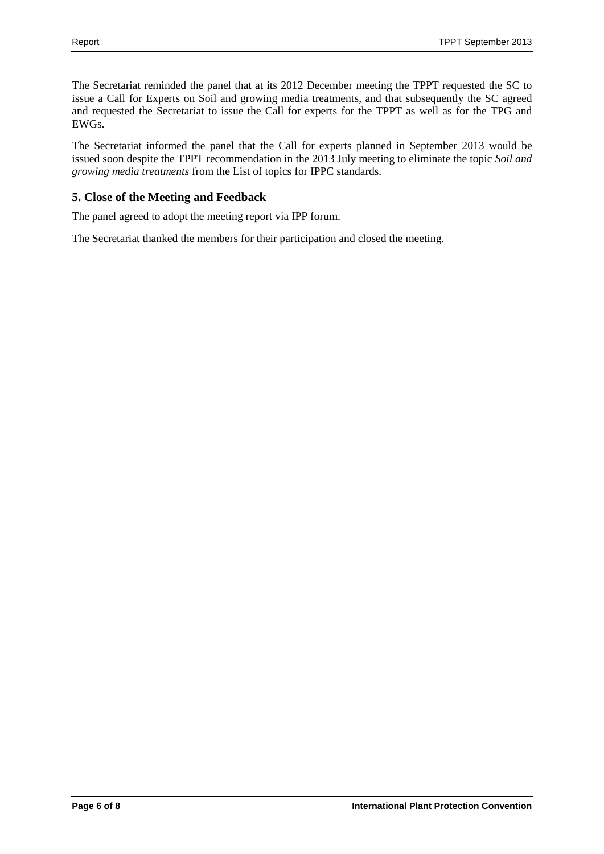The Secretariat reminded the panel that at its 2012 December meeting the TPPT requested the SC to issue a Call for Experts on Soil and growing media treatments, and that subsequently the SC agreed and requested the Secretariat to issue the Call for experts for the TPPT as well as for the TPG and EWGs.

The Secretariat informed the panel that the Call for experts planned in September 2013 would be issued soon despite the TPPT recommendation in the 2013 July meeting to eliminate the topic *Soil and growing media treatments* from the List of topics for IPPC standards.

# <span id="page-5-0"></span>**5. Close of the Meeting and Feedback**

The panel agreed to adopt the meeting report via IPP forum.

The Secretariat thanked the members for their participation and closed the meeting.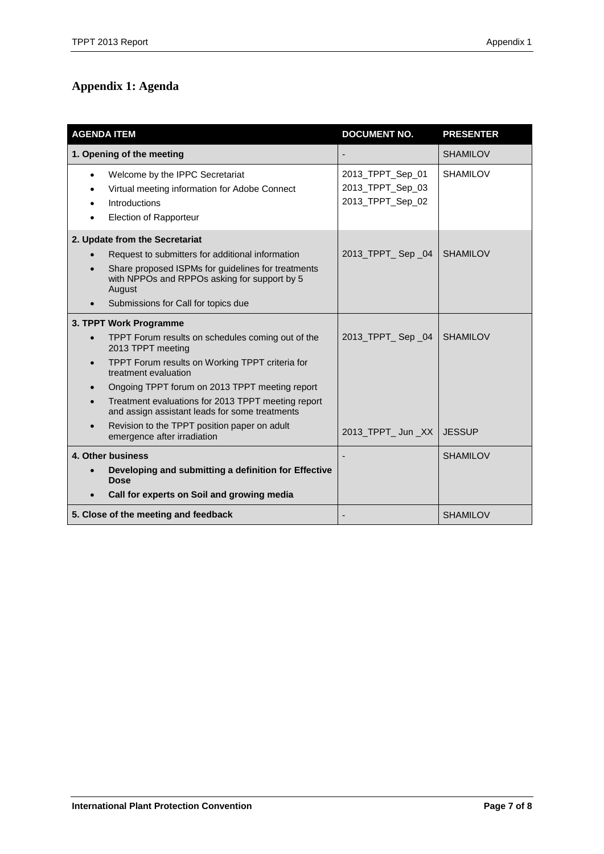# <span id="page-6-0"></span>**Appendix 1: Agenda**

| <b>AGENDA ITEM</b>        |                                                                                                                             | <b>DOCUMENT NO.</b>                                      | <b>PRESENTER</b> |
|---------------------------|-----------------------------------------------------------------------------------------------------------------------------|----------------------------------------------------------|------------------|
| 1. Opening of the meeting |                                                                                                                             |                                                          | <b>SHAMILOV</b>  |
| $\bullet$                 | Welcome by the IPPC Secretariat<br>Virtual meeting information for Adobe Connect<br>Introductions<br>Election of Rapporteur | 2013_TPPT_Sep_01<br>2013_TPPT_Sep_03<br>2013_TPPT_Sep_02 | <b>SHAMILOV</b>  |
|                           | 2. Update from the Secretariat                                                                                              |                                                          |                  |
|                           | Request to submitters for additional information                                                                            | 2013_TPPT_Sep_04                                         | <b>SHAMILOV</b>  |
|                           | Share proposed ISPMs for guidelines for treatments<br>with NPPOs and RPPOs asking for support by 5<br>August                |                                                          |                  |
|                           | Submissions for Call for topics due                                                                                         |                                                          |                  |
| 3. TPPT Work Programme    |                                                                                                                             |                                                          |                  |
| $\bullet$                 | TPPT Forum results on schedules coming out of the<br>2013 TPPT meeting                                                      | 2013_TPPT_Sep_04                                         | <b>SHAMILOV</b>  |
| $\bullet$                 | TPPT Forum results on Working TPPT criteria for<br>treatment evaluation                                                     |                                                          |                  |
|                           | Ongoing TPPT forum on 2013 TPPT meeting report                                                                              |                                                          |                  |
|                           | Treatment evaluations for 2013 TPPT meeting report<br>and assign assistant leads for some treatments                        |                                                          |                  |
|                           | Revision to the TPPT position paper on adult<br>emergence after irradiation                                                 | 2013_TPPT_Jun_XX                                         | <b>JESSUP</b>    |
| 4. Other business         |                                                                                                                             |                                                          | <b>SHAMILOV</b>  |
|                           | Developing and submitting a definition for Effective<br><b>Dose</b>                                                         |                                                          |                  |
|                           | Call for experts on Soil and growing media                                                                                  |                                                          |                  |
|                           | 5. Close of the meeting and feedback                                                                                        |                                                          | <b>SHAMILOV</b>  |